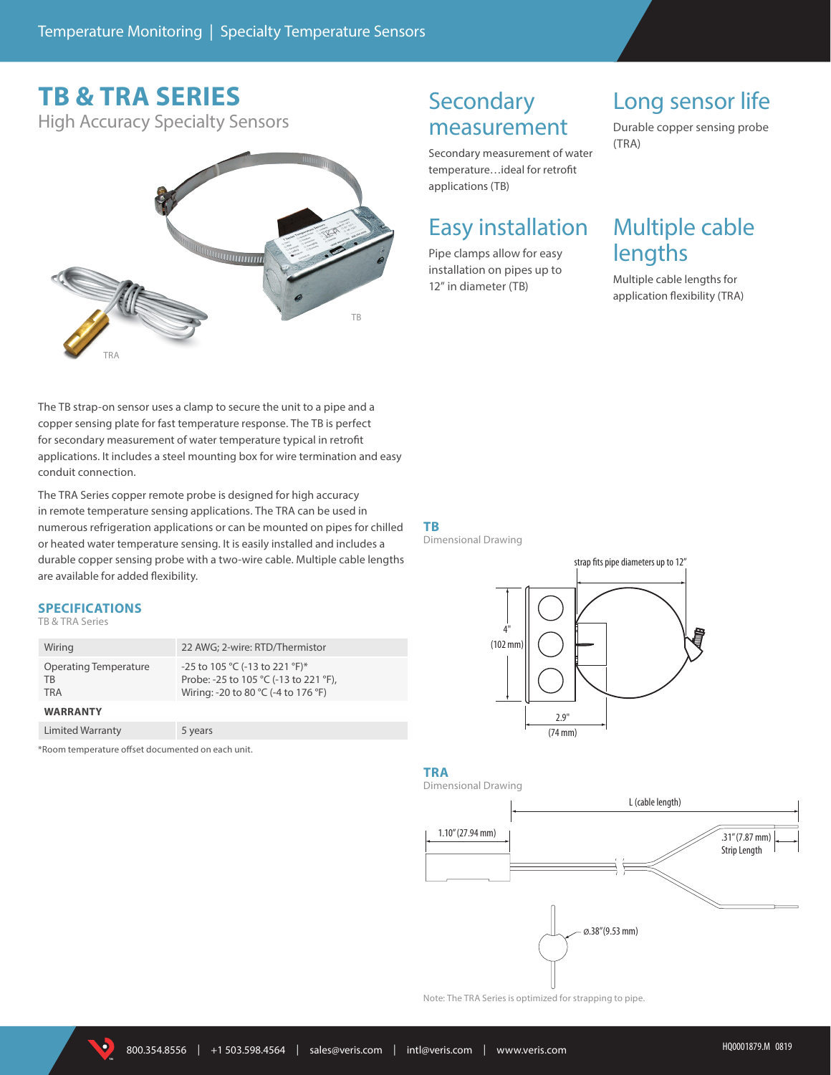# **TB & TRA SERIES**

High Accuracy Specialty Sensors



## **Secondary** measurement

Secondary measurement of water temperature…ideal for retrofit applications (TB)

### Easy installation

Pipe clamps allow for easy installation on pipes up to 12" in diameter (TB)

# Long sensor life

Durable copper sensing probe (TRA)

# Multiple cable lengths

Multiple cable lengths for application flexibility (TRA)

The TB strap-on sensor uses a clamp to secure the unit to a pipe and a copper sensing plate for fast temperature response. The TB is perfect for secondary measurement of water temperature typical in retrofit applications. It includes a steel mounting box for wire termination and easy conduit connection.

The TRA Series copper remote probe is designed for high accuracy in remote temperature sensing applications. The TRA can be used in numerous refrigeration applications or can be mounted on pipes for chilled or heated water temperature sensing. It is easily installed and includes a durable copper sensing probe with a two-wire cable. Multiple cable lengths are available for added flexibility.

### **SPECIFICATIONS**

#### TB & TRA Series

| Wiring                                    | 22 AWG; 2-wire: RTD/Thermistor                                                                                 |
|-------------------------------------------|----------------------------------------------------------------------------------------------------------------|
| Operating Temperature<br>TB<br><b>TRA</b> | -25 to 105 °C (-13 to 221 °F)*<br>Probe: -25 to 105 °C (-13 to 221 °F),<br>Wiring: -20 to 80 °C (-4 to 176 °F) |
| <b>WARRANTY</b>                           |                                                                                                                |
| <b>Limited Warranty</b>                   | 5 years                                                                                                        |

\*Room temperature offset documented on each unit.

#### **TB** Dimensional Drawing



### **TRA**



Note: The TRA Series is optimized for strapping to pipe.